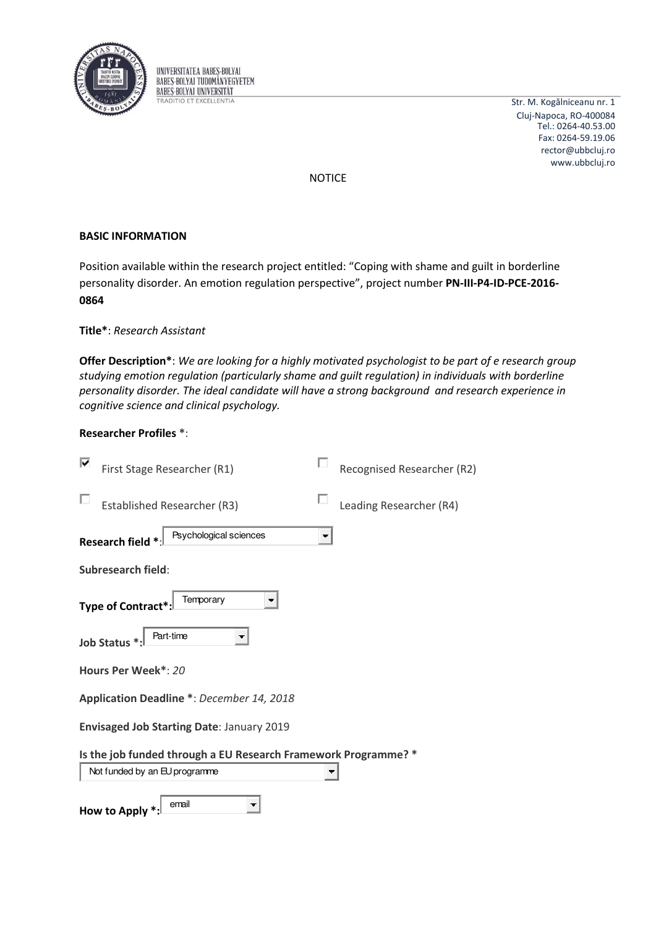

UNIVERSITATEA BABES-BOLYAI **BABES-BOLYAI TUDOMÁNYEGYETEM BABES-BOLYAI UNIVERSITAT TRADITIO ET EXCELLENTIA** 

Str. M. Kogălniceanu nr. 1 Cluj-Napoca, RO-400084 rector@ubbcluj.ro www.ubbcluj.ro Tel.: 0264-40.53.00 Fax: 0264-59.19.06

NOTICE

# **BASIC INFORMATION**

Position available within the research project entitled: "Coping with shame and guilt in borderline personality disorder. An emotion regulation perspective", project number **PN-III-P4-ID-PCE-2016-0864**

# **Title\***: *Research Assistant*

**Offer Description\***: *We are looking for a highly motivated psychologist to be part of e research group studying emotion regulation (particularly shame and guilt regulation) in individuals with borderline personality disorder. The ideal candidate will have a strong background and research experience in cognitive science and clinical psychology.* 

# **Researcher Profiles \***:

| ↜<br>First Stage Researcher (R1)                                                                | Recognised Researcher (R2) |  |  |  |  |
|-------------------------------------------------------------------------------------------------|----------------------------|--|--|--|--|
| <b>Established Researcher (R3)</b>                                                              | Leading Researcher (R4)    |  |  |  |  |
| Psychological sciences<br>Research field *                                                      |                            |  |  |  |  |
| <b>Subresearch field:</b>                                                                       |                            |  |  |  |  |
| Temporary<br>Type of Contract*                                                                  |                            |  |  |  |  |
| Part-time<br><b>Job Status</b>                                                                  |                            |  |  |  |  |
| Hours Per Week*: 20                                                                             |                            |  |  |  |  |
| Application Deadline *: December 14, 2018                                                       |                            |  |  |  |  |
| <b>Envisaged Job Starting Date: January 2019</b>                                                |                            |  |  |  |  |
| Is the job funded through a EU Research Framework Programme? *<br>Not funded by an EU programme |                            |  |  |  |  |
| email<br><b>How to Apply</b>                                                                    |                            |  |  |  |  |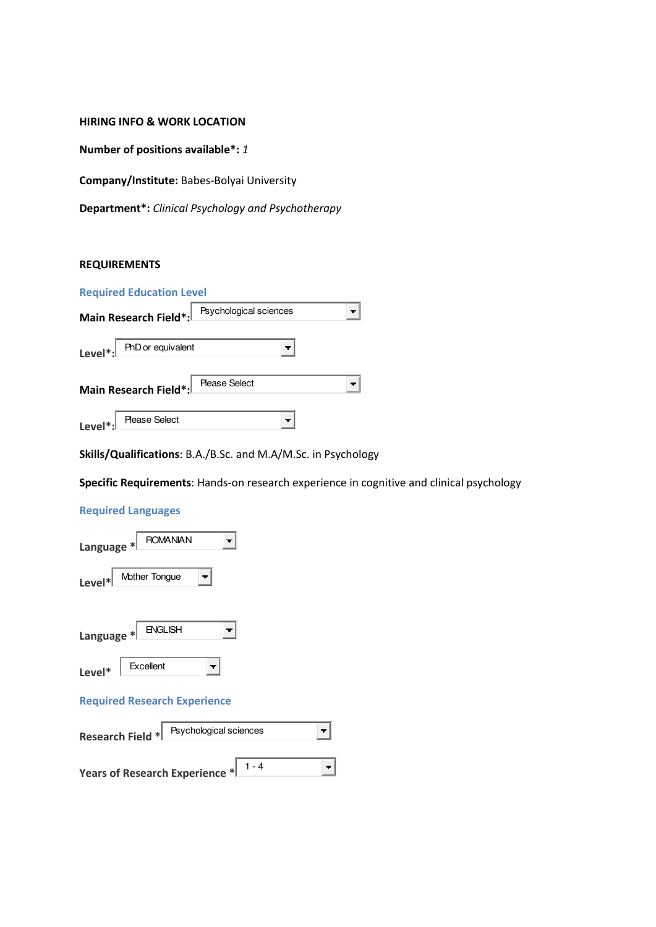#### **HIRING INFO & WORK LOCATION**

**Number of positions available\*:** *1*

**Company/Institute:** Babes-Bolyai University

**Department\*:** *Clinical Psychology and Psychotherapy* 

# **REQUIREMENTS**

|                      | <b>Required Education Level</b> |                        |  |
|----------------------|---------------------------------|------------------------|--|
|                      | Main Research Field*:           | Psychological sciences |  |
| Level*: $\lfloor$    | PhD or equivalent               |                        |  |
|                      | Main Research Field*:           | <b>Please Select</b>   |  |
| Level <sup>*</sup> : | <b>Please Select</b>            |                        |  |

**Skills/Qualifications**: B.A./B.Sc. and M.A/M.Sc. in Psychology

**Specific Requirements**: Hands-on research experience in cognitive and clinical psychology

# **Required Languages**

| <b>ROMANIAN</b><br>Language *       |  |  |
|-------------------------------------|--|--|
| Mother Tongue<br>$\vert$ evel*      |  |  |
| <b>ENGLISH</b><br>Language $*$      |  |  |
| Excellent<br>Level*                 |  |  |
| <b>Required Research Experience</b> |  |  |

| Psychological sciences<br>Research Field * |  |  |  |  |
|--------------------------------------------|--|--|--|--|
| Years of Research Experience *             |  |  |  |  |